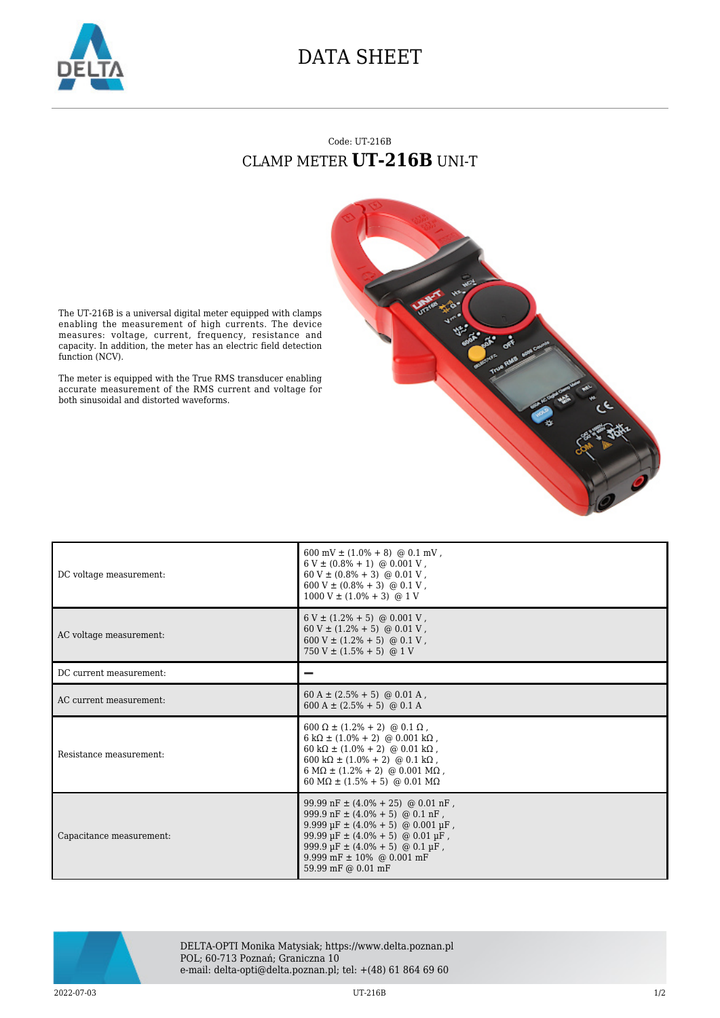

## DATA SHEET

## Code: UT-216B CLAMP METER **UT-216B** UNI-T



The UT-216B is a universal digital meter equipped with clamps enabling the measurement of high currents. The device measures: voltage, current, frequency, resistance and capacity. In addition, the meter has an electric field detection function (NCV).

The meter is equipped with the True RMS transducer enabling accurate measurement of the RMS current and voltage for both sinusoidal and distorted waveforms.

| DC voltage measurement:  | $600 \text{ mV} \pm (1.0\% + 8) \text{ @ } 0.1 \text{ mV}$ ,<br>$6 V \pm (0.8\% + 1) \text{ @ } 0.001 V$ ,<br>$60\,\mathrm{V} \pm (0.8\% \, + \, 3) \,$ @ $0.01\,\mathrm{V}$ ,<br>600 V ± $(0.8\% + 3)$ @ 0.1 V,<br>$1000 V \pm (1.0\% + 3)$ @ 1 V                                                                            |
|--------------------------|-------------------------------------------------------------------------------------------------------------------------------------------------------------------------------------------------------------------------------------------------------------------------------------------------------------------------------|
| AC voltage measurement:  | $6 V \pm (1.2\% + 5)$ @ 0.001 V,<br>$60 V \pm (1.2\% + 5)$ @ 0.01 V,<br>$600 V \pm (1.2\% + 5)$ @ 0.1 V,<br>750 V $\pm$ (1.5% + 5) @ 1 V                                                                                                                                                                                      |
| DC current measurement:  |                                                                                                                                                                                                                                                                                                                               |
| AC current measurement:  | $60 A \pm (2.5\% + 5)$ @ 0.01 A,<br>$600 A \pm (2.5\% + 5)$ @ 0.1 A                                                                                                                                                                                                                                                           |
| Resistance measurement:  | $600 \Omega \pm (1.2\% + 2)$ @ 0.1 $\Omega$ ,<br>$6 k\Omega \pm (1.0\% + 2)$ @ 0.001 k $\Omega$ ,<br>$60 \text{ k}\Omega \pm (1.0\% + 2)$ @ 0.01 k $\Omega$ ,<br>$600 \text{ k}\Omega \pm (1.0\% + 2)$ @ 0.1 k $\Omega$ ,<br>$6 M\Omega \pm (1.2\% + 2)$ @ 0.001 M $\Omega$ ,<br>60 M $\Omega$ ± (1.5% + 5) @ 0.01 M $\Omega$ |
| Capacitance measurement: | 99.99 nF $\pm$ (4.0% + 25) @ 0.01 nF,<br>999.9 nF $\pm$ (4.0% + 5) @ 0.1 nF,<br>9.999 µF ± (4.0% + 5) @ 0.001 µF,<br>$99.99 \,\text{µF} \pm (4.0\% + 5)$ @ 0.01 $\text{µF}$ ,<br>$999.9 \,\text{µF} \pm (4.0\% + 5)$ @ 0.1 $\text{µF}$ ,<br>9.999 mF $\pm$ 10% @ 0.001 mF<br>59.99 mF @ 0.01 mF                               |



DELTA-OPTI Monika Matysiak; https://www.delta.poznan.pl POL; 60-713 Poznań; Graniczna 10 e-mail: delta-opti@delta.poznan.pl; tel: +(48) 61 864 69 60